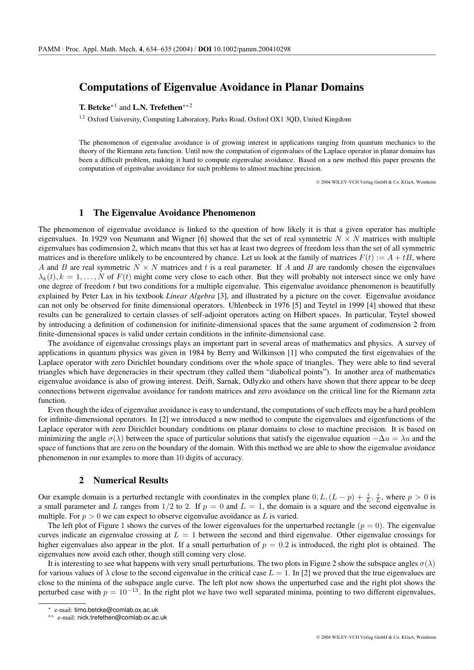## **Computations of Eigenvalue Avoidance in Planar Domains**

# **T. Betcke** ∗1 and **L.N. Trefethen**∗∗<sup>2</sup>

<sup>1,2</sup> Oxford University, Computing Laboratory, Parks Road, Oxford OX1 3QD, United Kingdom

The phenomenon of eigenvalue avoidance is of growing interest in applications ranging from quantum mechanics to the theory of the Riemann zeta function. Until now the computation of eigenvalues of the Laplace operator in planar domains has been a difficult problem, making it hard to compute eigenvalue avoidance. Based on a new method this paper presents the computation of eigenvalue avoidance for such problems to almost machine precision.

© 2004 WILEY-VCH Verlag GmbH & Co. KGaA, Weinheim

## **1 The Eigenvalue Avoidance Phenomenon**

The phenomenon of eigenvalue avoidance is linked to the question of how likely it is that a given operator has multiple eigenvalues. In 1929 von Neumann and Wigner [6] showed that the set of real symmetric  $N \times N$  matrices with multiple eigenvalues has codimension 2, which means that this set has at least two degrees of freedom less than the set of all symmetric matrices and is therefore unlikely to be encountered by chance. Let us look at the family of matrices  $F(t) := A + tB$ , where A and B are real symmetric  $N \times N$  matrices and t is a real parameter. If A and B are randomly chosen the eigenvalues  $\lambda_k(t)$ ,  $k = 1, \ldots, N$  of  $F(t)$  might come very close to each other. But they will probably not intersect since we only have one degree of freedom  $t$  but two conditions for a multiple eigenvalue. This eigenvalue avoidance phenomenon is beautifully explained by Peter Lax in his textbook *Linear Algebra* [3], and illustrated by a picture on the cover. Eigenvalue avoidance can not only be observed for finite dimensional operators. Uhlenbeck in 1976 [5] and Teytel in 1999 [4] showed that these results can be generalized to certain classes of self-adjoint operators acting on Hilbert spaces. In particular, Teytel showed by introducing a definition of codimension for inifinite-dimensional spaces that the same argument of codimension 2 from finite-dimensional spaces is valid under certain conditions in the infinite-dimensional case.

The avoidance of eigenvalue crossings plays an important part in several areas of mathematics and physics. A survey of applications in quantum physics was given in 1984 by Berry and Wilkinson [1] who computed the first eigenvalues of the Laplace operator with zero Dirichlet boundary conditions over the whole space of triangles. They were able to find several triangles which have degeneracies in their spectrum (they called them "diabolical points"). In another area of mathematics eigenvalue avoidance is also of growing interest. Deift, Sarnak, Odlyzko and others have shown that there appear to be deep connections between eigenvalue avoidance for random matrices and zero avoidance on the critical line for the Riemann zeta function.

Even though the idea of eigenvalue avoidance is easy to understand, the computations of such effects may be a hard problem for infinite-dimensional operators. In [2] we introduced a new method to compute the eigenvalues and eigenfunctions of the Laplace operator with zero Dirichlet boundary conditions on planar domains to close to machine precision. It is based on minimizing the angle  $\sigma(\lambda)$  between the space of particular solutions that satisfy the eigenvalue equation  $-\Delta u = \lambda u$  and the space of functions that are zero on the boundary of the domain. With this method we are able to show the eigenvalue avoidance phenomenon in our examples to more than 10 digits of accuracy.

#### **2 Numerical Results**

Our example domain is a perturbed rectangle with coordinates in the complex plane  $0, L, (L - p) + \frac{i}{L}, \frac{i}{L}$ , where  $p > 0$  is a small parameter and L ranges from  $1/2$  to 2. If  $p = 0$  and  $L = 1$ , the domain is a square and the second eigenvalue is multiple. For  $p > 0$  we can expect to observe eigenvalue avoidance as L is varied.

The left plot of Figure 1 shows the curves of the lower eigenvalues for the unperturbed rectangle  $(p = 0)$ . The eigenvalue curves indicate an eigenvalue crossing at  $L = 1$  between the second and third eigenvalue. Other eigenvalue crossings for higher eigenvalues also appear in the plot. If a small perturbation of  $p = 0.2$  is introduced, the right plot is obtained. The eigenvalues now avoid each other, though still coming very close.

It is interesting to see what happens with very small perturbations. The two plots in Figure 2 show the subspace angles  $\sigma(\lambda)$ for various values of  $\lambda$  close to the second eigenvalue in the critical case  $L = 1$ . In [2] we proved that the true eigenvalues are close to the minima of the subspace angle curve. The left plot now shows the unperturbed case and the right plot shows the perturbed case with  $p = 10^{-13}$ . In the right plot we have two well separated minima, pointing to two different eigenvalues,

<sup>∗</sup> e-mail: timo.betcke@comlab.ox.ac.uk

<sup>∗∗</sup> e-mail: nick.trefethen@comlab.ox.ac.uk